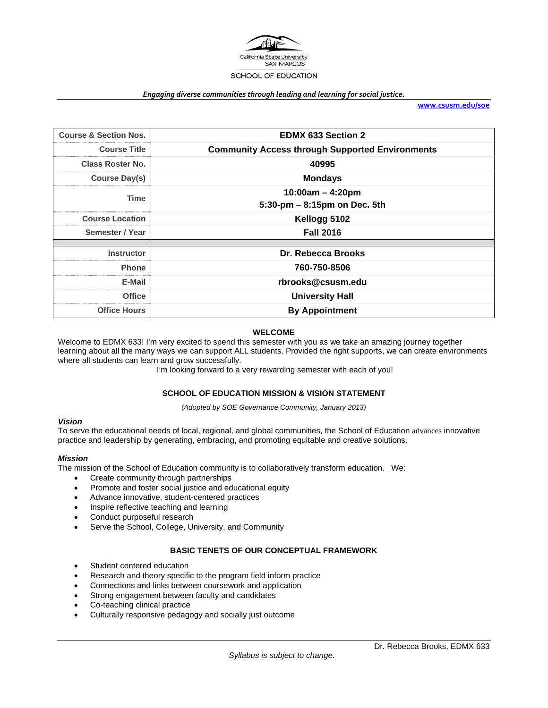

#### *Engaging diverse communities through leading and learning for social justice.*

**www.csusm.edu/soe**

| <b>Course &amp; Section Nos.</b> | <b>EDMX 633 Section 2</b>                              |  |
|----------------------------------|--------------------------------------------------------|--|
| <b>Course Title</b>              | <b>Community Access through Supported Environments</b> |  |
| <b>Class Roster No.</b>          | 40995                                                  |  |
| <b>Course Day(s)</b>             | <b>Mondays</b>                                         |  |
| <b>Time</b>                      | $10:00am - 4:20pm$                                     |  |
|                                  | 5:30-pm - 8:15pm on Dec. 5th                           |  |
| <b>Course Location</b>           | Kellogg 5102                                           |  |
| Semester / Year                  | <b>Fall 2016</b>                                       |  |
|                                  |                                                        |  |
| <b>Instructor</b>                | Dr. Rebecca Brooks                                     |  |
| <b>Phone</b>                     | 760-750-8506                                           |  |
| E-Mail                           | rbrooks@csusm.edu                                      |  |
| <b>Office</b>                    | <b>University Hall</b>                                 |  |
| <b>Office Hours</b>              | <b>By Appointment</b>                                  |  |

#### **WELCOME**

Welcome to EDMX 633! I'm very excited to spend this semester with you as we take an amazing journey together learning about all the many ways we can support ALL students. Provided the right supports, we can create environments where all students can learn and grow successfully.

I'm looking forward to a very rewarding semester with each of you!

#### **SCHOOL OF EDUCATION MISSION & VISION STATEMENT**

*(Adopted by SOE Governance Community, January 2013)* 

#### *Vision*

To serve the educational needs of local, regional, and global communities, the School of Education advances innovative practice and leadership by generating, embracing, and promoting equitable and creative solutions.

#### *Mission*

The mission of the School of Education community is to collaboratively transform education. We:

- Create community through partnerships
- Promote and foster social justice and educational equity
- Advance innovative, student-centered practices
- Inspire reflective teaching and learning
- Conduct purposeful research
- Serve the School, College, University, and Community

#### **BASIC TENETS OF OUR CONCEPTUAL FRAMEWORK**

- Student centered education
- Research and theory specific to the program field inform practice
- Connections and links between coursework and application
- Strong engagement between faculty and candidates
- Co-teaching clinical practice
- Culturally responsive pedagogy and socially just outcome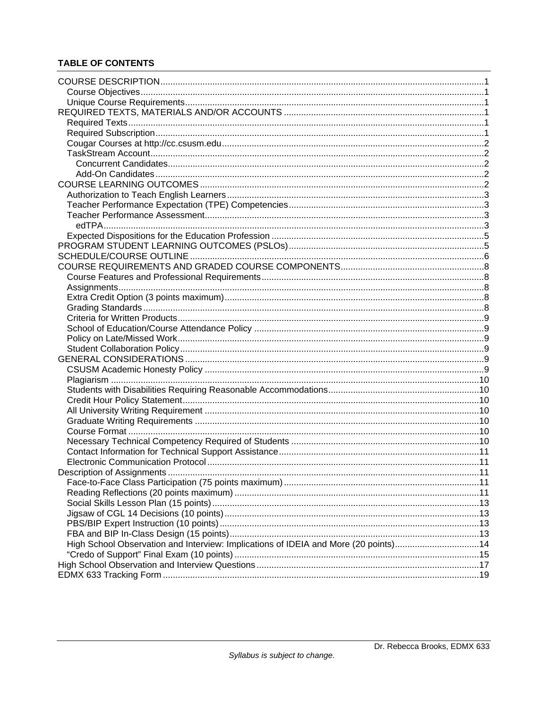# **TABLE OF CONTENTS**

|                                                                                     | .11 |
|-------------------------------------------------------------------------------------|-----|
|                                                                                     |     |
|                                                                                     |     |
|                                                                                     |     |
|                                                                                     |     |
|                                                                                     |     |
|                                                                                     |     |
| High School Observation and Interview: Implications of IDEIA and More (20 points)14 |     |
|                                                                                     |     |
|                                                                                     |     |
|                                                                                     |     |
|                                                                                     |     |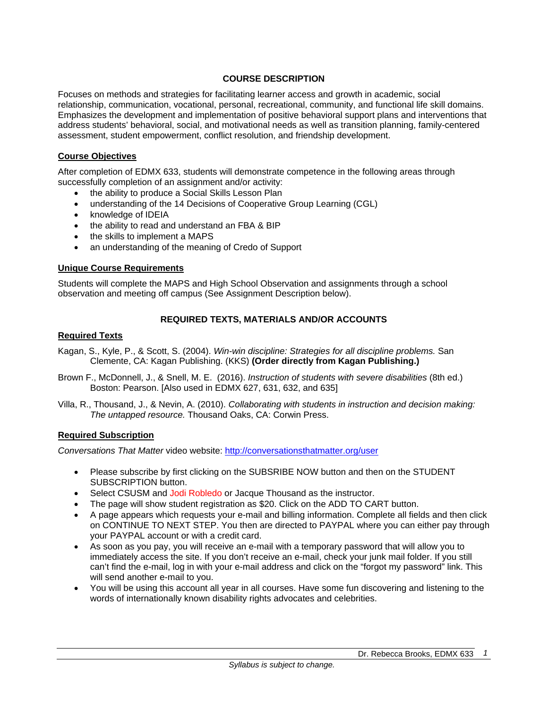## **COURSE DESCRIPTION**

Focuses on methods and strategies for facilitating learner access and growth in academic, social relationship, communication, vocational, personal, recreational, community, and functional life skill domains. Emphasizes the development and implementation of positive behavioral support plans and interventions that address students' behavioral, social, and motivational needs as well as transition planning, family-centered assessment, student empowerment, conflict resolution, and friendship development.

## **Course Objectives**

After completion of EDMX 633, students will demonstrate competence in the following areas through successfully completion of an assignment and/or activity:

- the ability to produce a Social Skills Lesson Plan
- understanding of the 14 Decisions of Cooperative Group Learning (CGL)
- knowledge of IDEIA
- the ability to read and understand an FBA & BIP
- the skills to implement a MAPS
- an understanding of the meaning of Credo of Support

## **Unique Course Requirements**

Students will complete the MAPS and High School Observation and assignments through a school observation and meeting off campus (See Assignment Description below).

## **REQUIRED TEXTS, MATERIALS AND/OR ACCOUNTS**

## **Required Texts**

- Kagan, S., Kyle, P., & Scott, S. (2004). *Win-win discipline: Strategies for all discipline problems.* San Clemente, CA: Kagan Publishing. (KKS) **(Order directly from Kagan Publishing.)**
- Brown F., McDonnell, J., & Snell, M. E. (2016). *Instruction of students with severe disabilities* (8th ed.) Boston: Pearson. [Also used in EDMX 627, 631, 632, and 635]
- Villa, R., Thousand, J., & Nevin, A. (2010). *Collaborating with students in instruction and decision making: The untapped resource.* Thousand Oaks, CA: Corwin Press.

## **Required Subscription**

*Conversations That Matter* video website: http://conversationsthatmatter.org/user

- Please subscribe by first clicking on the SUBSRIBE NOW button and then on the STUDENT SUBSCRIPTION button.
- Select CSUSM and Jodi Robledo or Jacque Thousand as the instructor.
- The page will show student registration as \$20. Click on the ADD TO CART button.
- A page appears which requests your e-mail and billing information. Complete all fields and then click on CONTINUE TO NEXT STEP. You then are directed to PAYPAL where you can either pay through your PAYPAL account or with a credit card.
- As soon as you pay, you will receive an e-mail with a temporary password that will allow you to immediately access the site. If you don't receive an e-mail, check your junk mail folder. If you still can't find the e-mail, log in with your e-mail address and click on the "forgot my password" link. This will send another e-mail to you.
- You will be using this account all year in all courses. Have some fun discovering and listening to the words of internationally known disability rights advocates and celebrities.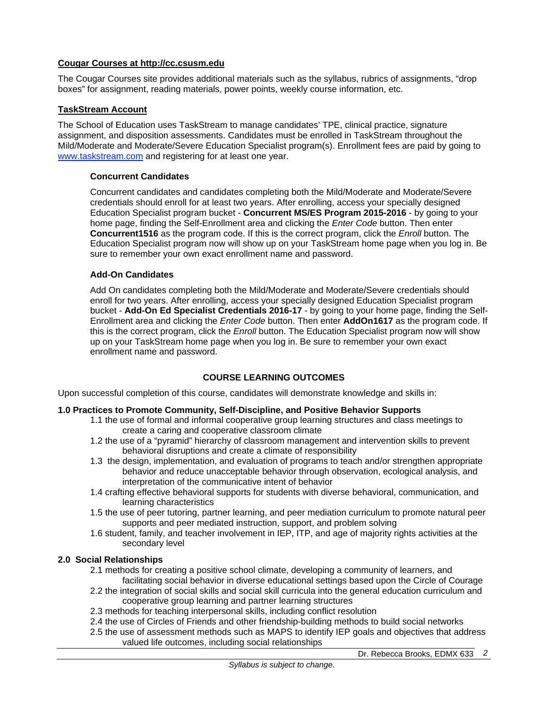## **Cougar Courses at http://cc.csusm.edu**

The Cougar Courses site provides additional materials such as the syllabus, rubrics of assignments, "drop boxes" for assignment, reading materials, power points, weekly course information, etc.

## **TaskStream Account**

The School of Education uses TaskStream to manage candidates' TPE, clinical practice, signature assignment, and disposition assessments. Candidates must be enrolled in TaskStream throughout the Mild/Moderate and Moderate/Severe Education Specialist program(s). Enrollment fees are paid by going to www.taskstream.com and registering for at least one year.

## **Concurrent Candidates**

Concurrent candidates and candidates completing both the Mild/Moderate and Moderate/Severe credentials should enroll for at least two years. After enrolling, access your specially designed Education Specialist program bucket - **Concurrent MS/ES Program 2015-2016** - by going to your home page, finding the Self-Enrollment area and clicking the *Enter Code* button. Then enter **Concurrent1516** as the program code. If this is the correct program, click the *Enroll* button. The Education Specialist program now will show up on your TaskStream home page when you log in. Be sure to remember your own exact enrollment name and password.

## **Add-On Candidates**

Add On candidates completing both the Mild/Moderate and Moderate/Severe credentials should enroll for two years. After enrolling, access your specially designed Education Specialist program bucket - **Add-On Ed Specialist Credentials 2016-17** - by going to your home page, finding the Self-Enrollment area and clicking the *Enter Code* button. Then enter **AddOn1617** as the program code. If this is the correct program, click the *Enroll* button. The Education Specialist program now will show up on your TaskStream home page when you log in. Be sure to remember your own exact enrollment name and password.

## **COURSE LEARNING OUTCOMES**

Upon successful completion of this course, candidates will demonstrate knowledge and skills in:

## **1.0 Practices to Promote Community, Self-Discipline, and Positive Behavior Supports**

- 1.1 the use of formal and informal cooperative group learning structures and class meetings to create a caring and cooperative classroom climate
- 1.2 the use of a "pyramid" hierarchy of classroom management and intervention skills to prevent behavioral disruptions and create a climate of responsibility
- 1.3 the design, implementation, and evaluation of programs to teach and/or strengthen appropriate behavior and reduce unacceptable behavior through observation, ecological analysis, and interpretation of the communicative intent of behavior
- 1.4 crafting effective behavioral supports for students with diverse behavioral, communication, and learning characteristics
- 1.5 the use of peer tutoring, partner learning, and peer mediation curriculum to promote natural peer supports and peer mediated instruction, support, and problem solving
- 1.6 student, family, and teacher involvement in IEP, ITP, and age of majority rights activities at the secondary level

## **2.0 Social Relationships**

- 2.1 methods for creating a positive school climate, developing a community of learners, and facilitating social behavior in diverse educational settings based upon the Circle of Courage
- 2.2 the integration of social skills and social skill curricula into the general education curriculum and cooperative group learning and partner learning structures
- 2.3 methods for teaching interpersonal skills, including conflict resolution
- 2.4 the use of Circles of Friends and other friendship-building methods to build social networks
- 2.5 the use of assessment methods such as MAPS to identify IEP goals and objectives that address valued life outcomes, including social relationships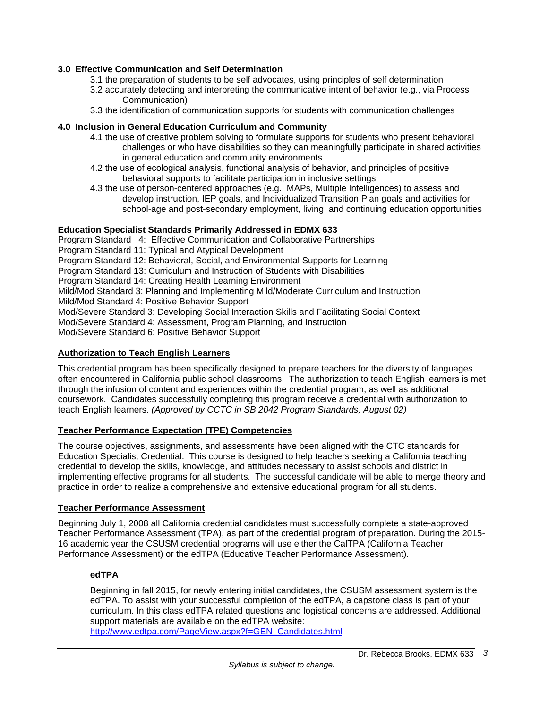## **3.0 Effective Communication and Self Determination**

- 3.1 the preparation of students to be self advocates, using principles of self determination
- 3.2 accurately detecting and interpreting the communicative intent of behavior (e.g., via Process Communication)
- 3.3 the identification of communication supports for students with communication challenges

#### **4.0 Inclusion in General Education Curriculum and Community**

- 4.1 the use of creative problem solving to formulate supports for students who present behavioral challenges or who have disabilities so they can meaningfully participate in shared activities in general education and community environments
- 4.2 the use of ecological analysis, functional analysis of behavior, and principles of positive behavioral supports to facilitate participation in inclusive settings
- 4.3 the use of person-centered approaches (e.g., MAPs, Multiple Intelligences) to assess and develop instruction, IEP goals, and Individualized Transition Plan goals and activities for school-age and post-secondary employment, living, and continuing education opportunities

## **Education Specialist Standards Primarily Addressed in EDMX 633**

Program Standard 4: Effective Communication and Collaborative Partnerships Program Standard 11: Typical and Atypical Development Program Standard 12: Behavioral, Social, and Environmental Supports for Learning Program Standard 13: Curriculum and Instruction of Students with Disabilities Program Standard 14: Creating Health Learning Environment Mild/Mod Standard 3: Planning and Implementing Mild/Moderate Curriculum and Instruction Mild/Mod Standard 4: Positive Behavior Support Mod/Severe Standard 3: Developing Social Interaction Skills and Facilitating Social Context Mod/Severe Standard 4: Assessment, Program Planning, and Instruction Mod/Severe Standard 6: Positive Behavior Support

#### **Authorization to Teach English Learners**

This credential program has been specifically designed to prepare teachers for the diversity of languages often encountered in California public school classrooms. The authorization to teach English learners is met through the infusion of content and experiences within the credential program, as well as additional coursework. Candidates successfully completing this program receive a credential with authorization to teach English learners. *(Approved by CCTC in SB 2042 Program Standards, August 02)*

## **Teacher Performance Expectation (TPE) Competencies**

The course objectives, assignments, and assessments have been aligned with the CTC standards for Education Specialist Credential. This course is designed to help teachers seeking a California teaching credential to develop the skills, knowledge, and attitudes necessary to assist schools and district in implementing effective programs for all students. The successful candidate will be able to merge theory and practice in order to realize a comprehensive and extensive educational program for all students.

#### **Teacher Performance Assessment**

Beginning July 1, 2008 all California credential candidates must successfully complete a state-approved Teacher Performance Assessment (TPA), as part of the credential program of preparation. During the 2015- 16 academic year the CSUSM credential programs will use either the CalTPA (California Teacher Performance Assessment) or the edTPA (Educative Teacher Performance Assessment).

#### **edTPA**

Beginning in fall 2015, for newly entering initial candidates, the CSUSM assessment system is the edTPA. To assist with your successful completion of the edTPA, a capstone class is part of your curriculum. In this class edTPA related questions and logistical concerns are addressed. Additional support materials are available on the edTPA website:

http://www.edtpa.com/PageView.aspx?f=GEN\_Candidates.html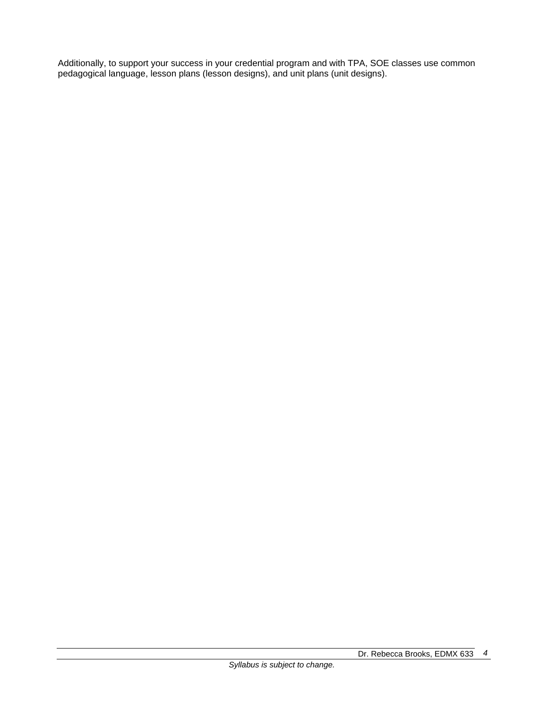Additionally, to support your success in your credential program and with TPA, SOE classes use common pedagogical language, lesson plans (lesson designs), and unit plans (unit designs).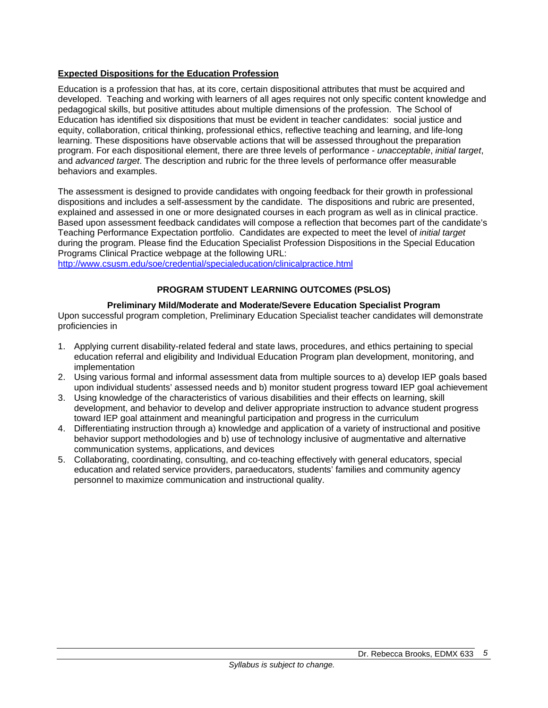## **Expected Dispositions for the Education Profession**

Education is a profession that has, at its core, certain dispositional attributes that must be acquired and developed. Teaching and working with learners of all ages requires not only specific content knowledge and pedagogical skills, but positive attitudes about multiple dimensions of the profession. The School of Education has identified six dispositions that must be evident in teacher candidates: social justice and equity, collaboration, critical thinking, professional ethics, reflective teaching and learning, and life-long learning. These dispositions have observable actions that will be assessed throughout the preparation program. For each dispositional element, there are three levels of performance - *unacceptable*, *initial target*, and *advanced target*. The description and rubric for the three levels of performance offer measurable behaviors and examples.

The assessment is designed to provide candidates with ongoing feedback for their growth in professional dispositions and includes a self-assessment by the candidate. The dispositions and rubric are presented, explained and assessed in one or more designated courses in each program as well as in clinical practice. Based upon assessment feedback candidates will compose a reflection that becomes part of the candidate's Teaching Performance Expectation portfolio. Candidates are expected to meet the level of *initial target* during the program. Please find the Education Specialist Profession Dispositions in the Special Education Programs Clinical Practice webpage at the following URL:

http://www.csusm.edu/soe/credential/specialeducation/clinicalpractice.html

## **PROGRAM STUDENT LEARNING OUTCOMES (PSLOS)**

## **Preliminary Mild/Moderate and Moderate/Severe Education Specialist Program**

Upon successful program completion, Preliminary Education Specialist teacher candidates will demonstrate proficiencies in

- 1. Applying current disability-related federal and state laws, procedures, and ethics pertaining to special education referral and eligibility and Individual Education Program plan development, monitoring, and implementation
- 2. Using various formal and informal assessment data from multiple sources to a) develop IEP goals based upon individual students' assessed needs and b) monitor student progress toward IEP goal achievement
- 3. Using knowledge of the characteristics of various disabilities and their effects on learning, skill development, and behavior to develop and deliver appropriate instruction to advance student progress toward IEP goal attainment and meaningful participation and progress in the curriculum
- 4. Differentiating instruction through a) knowledge and application of a variety of instructional and positive behavior support methodologies and b) use of technology inclusive of augmentative and alternative communication systems, applications, and devices
- 5. Collaborating, coordinating, consulting, and co-teaching effectively with general educators, special education and related service providers, paraeducators, students' families and community agency personnel to maximize communication and instructional quality.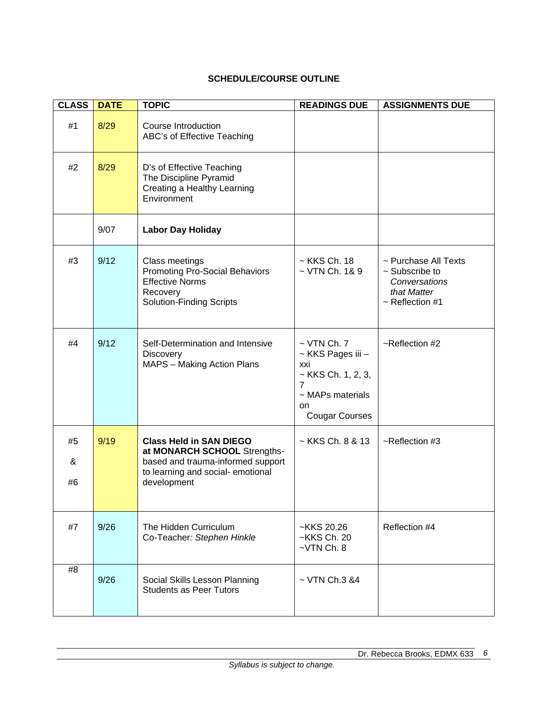# **SCHEDULE/COURSE OUTLINE**

| <b>CLASS</b>  | <b>DATE</b> | <b>TOPIC</b>                                                                                                                                           | <b>READINGS DUE</b>                                                                                                                               | <b>ASSIGNMENTS DUE</b>                                                                              |
|---------------|-------------|--------------------------------------------------------------------------------------------------------------------------------------------------------|---------------------------------------------------------------------------------------------------------------------------------------------------|-----------------------------------------------------------------------------------------------------|
| #1            | 8/29        | Course Introduction<br>ABC's of Effective Teaching                                                                                                     |                                                                                                                                                   |                                                                                                     |
| #2            | 8/29        | D's of Effective Teaching<br>The Discipline Pyramid<br>Creating a Healthy Learning<br>Environment                                                      |                                                                                                                                                   |                                                                                                     |
|               | 9/07        | <b>Labor Day Holiday</b>                                                                                                                               |                                                                                                                                                   |                                                                                                     |
| #3            | 9/12        | Class meetings<br><b>Promoting Pro-Social Behaviors</b><br><b>Effective Norms</b><br>Recovery<br><b>Solution-Finding Scripts</b>                       | $\sim$ KKS Ch. 18<br>$\sim$ VTN Ch. 1& 9                                                                                                          | ~ Purchase All Texts<br>$\sim$ Subscribe to<br>Conversations<br>that Matter<br>$\sim$ Reflection #1 |
| #4            | 9/12        | Self-Determination and Intensive<br><b>Discovery</b><br>MAPS - Making Action Plans                                                                     | $\sim$ VTN Ch. 7<br>~ KKS Pages iii -<br>xxi<br>$\sim$ KKS Ch. 1, 2, 3,<br>$\overline{7}$<br>$\sim$ MAPs materials<br>on<br><b>Cougar Courses</b> | ~Reflection #2                                                                                      |
| #5<br>&<br>#6 | 9/19        | <b>Class Held in SAN DIEGO</b><br>at MONARCH SCHOOL Strengths-<br>based and trauma-informed support<br>to learning and social-emotional<br>development | $\sim$ KKS Ch, 8 & 13                                                                                                                             | ~Reflection #3                                                                                      |
| #7            | 9/26        | The Hidden Curriculum<br>Co-Teacher: Stephen Hinkle                                                                                                    | ~KKS 20.26<br>~KKS Ch. 20<br>$-VTN$ Ch. 8                                                                                                         | Reflection #4                                                                                       |
| #8            | 9/26        | Social Skills Lesson Planning<br><b>Students as Peer Tutors</b>                                                                                        | $\sim$ VTN Ch.3 &4                                                                                                                                |                                                                                                     |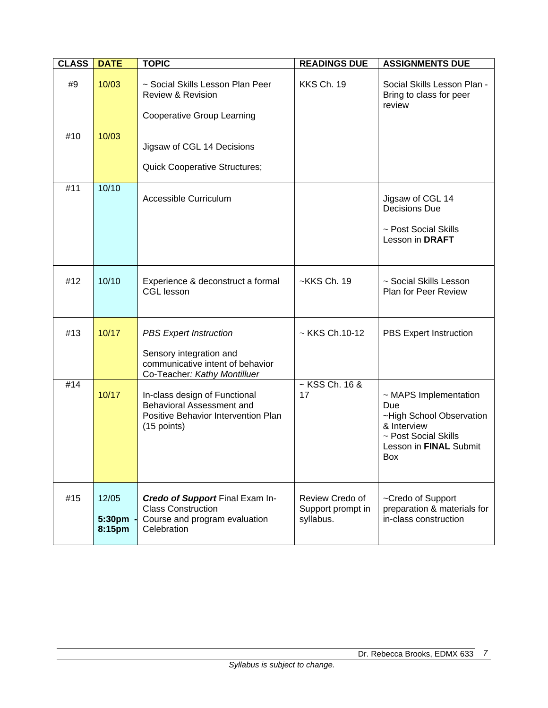| <b>CLASS</b> | <b>DATE</b>               | <b>TOPIC</b>                                                                                                                 | <b>READINGS DUE</b>                               | <b>ASSIGNMENTS DUE</b>                                                                                                           |
|--------------|---------------------------|------------------------------------------------------------------------------------------------------------------------------|---------------------------------------------------|----------------------------------------------------------------------------------------------------------------------------------|
| #9           | 10/03                     | ~ Social Skills Lesson Plan Peer<br><b>Review &amp; Revision</b>                                                             | KKS Ch. 19                                        | Social Skills Lesson Plan -<br>Bring to class for peer<br>review                                                                 |
|              |                           | <b>Cooperative Group Learning</b>                                                                                            |                                                   |                                                                                                                                  |
| #10          | 10/03                     | Jigsaw of CGL 14 Decisions                                                                                                   |                                                   |                                                                                                                                  |
|              |                           | <b>Quick Cooperative Structures;</b>                                                                                         |                                                   |                                                                                                                                  |
| #11          | 10/10                     | Accessible Curriculum                                                                                                        |                                                   | Jigsaw of CGL 14<br><b>Decisions Due</b><br>~ Post Social Skills<br>Lesson in DRAFT                                              |
| #12          | 10/10                     | Experience & deconstruct a formal<br><b>CGL lesson</b>                                                                       | ~KKS Ch. 19                                       | ~ Social Skills Lesson<br><b>Plan for Peer Review</b>                                                                            |
| #13          | 10/17                     | <b>PBS Expert Instruction</b><br>Sensory integration and<br>communicative intent of behavior<br>Co-Teacher: Kathy Montilluer | $\sim$ KKS Ch.10-12                               | PBS Expert Instruction                                                                                                           |
| #14          | 10/17                     | In-class design of Functional<br>Behavioral Assessment and<br>Positive Behavior Intervention Plan<br>$(15$ points)           | $\sim$ KSS Ch. 16 &<br>17                         | ~ MAPS Implementation<br>Due<br>~High School Observation<br>& Interview<br>~ Post Social Skills<br>Lesson in FINAL Submit<br>Box |
| #15          | 12/05<br>5:30pm<br>8:15pm | Credo of Support Final Exam In-<br><b>Class Construction</b><br>Course and program evaluation<br>Celebration                 | Review Credo of<br>Support prompt in<br>syllabus. | ~Credo of Support<br>preparation & materials for<br>in-class construction                                                        |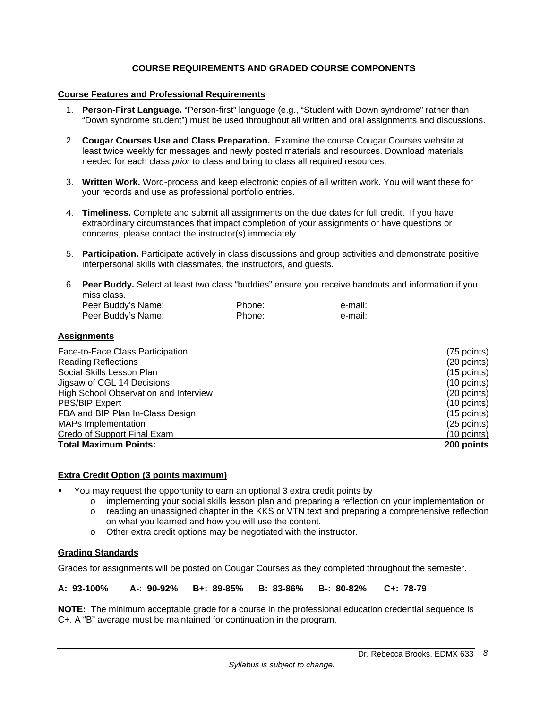## **COURSE REQUIREMENTS AND GRADED COURSE COMPONENTS**

#### **Course Features and Professional Requirements**

- 1. **Person-First Language.** "Person-first" language (e.g., "Student with Down syndrome" rather than "Down syndrome student") must be used throughout all written and oral assignments and discussions.
- 2. **Cougar Courses Use and Class Preparation.** Examine the course Cougar Courses website at least twice weekly for messages and newly posted materials and resources. Download materials needed for each class *prior* to class and bring to class all required resources.
- 3. **Written Work.** Word-process and keep electronic copies of all written work. You will want these for your records and use as professional portfolio entries.
- 4. **Timeliness.** Complete and submit all assignments on the due dates for full credit. If you have extraordinary circumstances that impact completion of your assignments or have questions or concerns, please contact the instructor(s) immediately.
- 5. **Participation.** Participate actively in class discussions and group activities and demonstrate positive interpersonal skills with classmates, the instructors, and guests.
- 6. **Peer Buddy.** Select at least two class "buddies" ensure you receive handouts and information if you miss class.

| Peer Buddy's Name: | Phone: | e-mail: |
|--------------------|--------|---------|
| Peer Buddy's Name: | Phone: | e-mail: |

#### **Assignments**

| Face-to-Face Class Participation      | (75 points)   |
|---------------------------------------|---------------|
| <b>Reading Reflections</b>            | (20 points)   |
| Social Skills Lesson Plan             | $(15$ points) |
| Jigsaw of CGL 14 Decisions            | $(10$ points) |
| High School Observation and Interview | (20 points)   |
| <b>PBS/BIP Expert</b>                 | (10 points)   |
| FBA and BIP Plan In-Class Design      | $(15$ points) |
| <b>MAPs Implementation</b>            | (25 points)   |
| Credo of Support Final Exam           | $(10$ points) |
| <b>Total Maximum Points:</b>          | 200 points    |

## **Extra Credit Option (3 points maximum)**

- You may request the opportunity to earn an optional 3 extra credit points by
	- o implementing your social skills lesson plan and preparing a reflection on your implementation or
	- o reading an unassigned chapter in the KKS or VTN text and preparing a comprehensive reflection on what you learned and how you will use the content.
	- o Other extra credit options may be negotiated with the instructor.

## **Grading Standards**

Grades for assignments will be posted on Cougar Courses as they completed throughout the semester.

**A: 93-100% A-: 90-92% B+: 89-85% B: 83-86% B-: 80-82% C+: 78-79** 

**NOTE:** The minimum acceptable grade for a course in the professional education credential sequence is C+. A "B" average must be maintained for continuation in the program.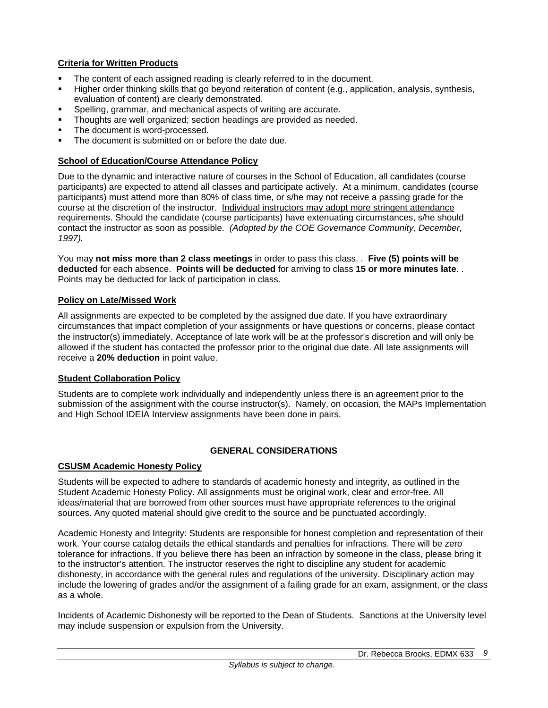## **Criteria for Written Products**

- The content of each assigned reading is clearly referred to in the document.
- Higher order thinking skills that go beyond reiteration of content (e.g., application, analysis, synthesis, evaluation of content) are clearly demonstrated.
- Spelling, grammar, and mechanical aspects of writing are accurate.
- Thoughts are well organized; section headings are provided as needed.
- The document is word-processed.
- The document is submitted on or before the date due.

## **School of Education/Course Attendance Policy**

Due to the dynamic and interactive nature of courses in the School of Education, all candidates (course participants) are expected to attend all classes and participate actively. At a minimum, candidates (course participants) must attend more than 80% of class time, or s/he may not receive a passing grade for the course at the discretion of the instructor. Individual instructors may adopt more stringent attendance requirements. Should the candidate (course participants) have extenuating circumstances, s/he should contact the instructor as soon as possible. *(Adopted by the COE Governance Community, December, 1997).*

You may **not miss more than 2 class meetings** in order to pass this class. . **Five (5) points will be deducted** for each absence. **Points will be deducted** for arriving to class **15 or more minutes late**. . Points may be deducted for lack of participation in class.

## **Policy on Late/Missed Work**

All assignments are expected to be completed by the assigned due date. If you have extraordinary circumstances that impact completion of your assignments or have questions or concerns, please contact the instructor(s) immediately. Acceptance of late work will be at the professor's discretion and will only be allowed if the student has contacted the professor prior to the original due date. All late assignments will receive a **20% deduction** in point value.

## **Student Collaboration Policy**

Students are to complete work individually and independently unless there is an agreement prior to the submission of the assignment with the course instructor(s). Namely, on occasion, the MAPs Implementation and High School IDEIA Interview assignments have been done in pairs.

## **GENERAL CONSIDERATIONS**

## **CSUSM Academic Honesty Policy**

Students will be expected to adhere to standards of academic honesty and integrity, as outlined in the Student Academic Honesty Policy. All assignments must be original work, clear and error-free. All ideas/material that are borrowed from other sources must have appropriate references to the original sources. Any quoted material should give credit to the source and be punctuated accordingly.

Academic Honesty and Integrity: Students are responsible for honest completion and representation of their work. Your course catalog details the ethical standards and penalties for infractions. There will be zero tolerance for infractions. If you believe there has been an infraction by someone in the class, please bring it to the instructor's attention. The instructor reserves the right to discipline any student for academic dishonesty, in accordance with the general rules and regulations of the university. Disciplinary action may include the lowering of grades and/or the assignment of a failing grade for an exam, assignment, or the class as a whole.

Incidents of Academic Dishonesty will be reported to the Dean of Students. Sanctions at the University level may include suspension or expulsion from the University.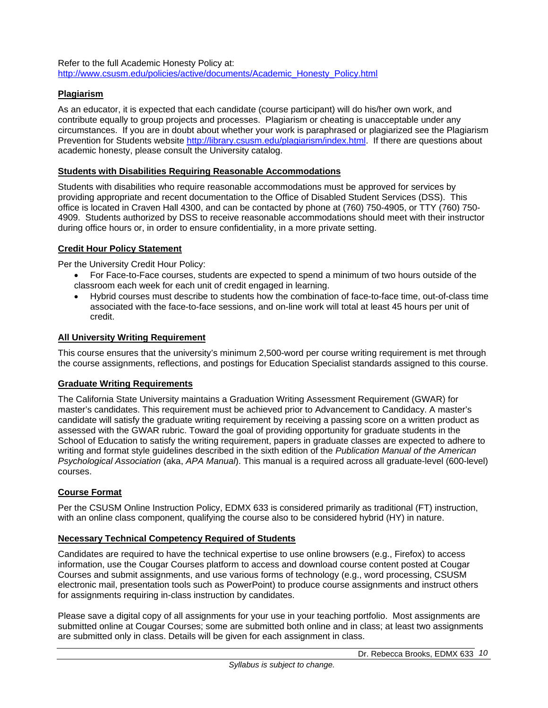Refer to the full Academic Honesty Policy at: http://www.csusm.edu/policies/active/documents/Academic\_Honesty\_Policy.html

## **Plagiarism**

As an educator, it is expected that each candidate (course participant) will do his/her own work, and contribute equally to group projects and processes. Plagiarism or cheating is unacceptable under any circumstances. If you are in doubt about whether your work is paraphrased or plagiarized see the Plagiarism Prevention for Students website http://library.csusm.edu/plagiarism/index.html. If there are questions about academic honesty, please consult the University catalog.

#### **Students with Disabilities Requiring Reasonable Accommodations**

Students with disabilities who require reasonable accommodations must be approved for services by providing appropriate and recent documentation to the Office of Disabled Student Services (DSS). This office is located in Craven Hall 4300, and can be contacted by phone at (760) 750-4905, or TTY (760) 750- 4909. Students authorized by DSS to receive reasonable accommodations should meet with their instructor during office hours or, in order to ensure confidentiality, in a more private setting.

## **Credit Hour Policy Statement**

Per the University Credit Hour Policy:

- For Face-to-Face courses, students are expected to spend a minimum of two hours outside of the classroom each week for each unit of credit engaged in learning.
- Hybrid courses must describe to students how the combination of face-to-face time, out-of-class time associated with the face-to-face sessions, and on-line work will total at least 45 hours per unit of credit.

#### **All University Writing Requirement**

This course ensures that the university's minimum 2,500-word per course writing requirement is met through the course assignments, reflections, and postings for Education Specialist standards assigned to this course.

## **Graduate Writing Requirements**

The California State University maintains a Graduation Writing Assessment Requirement (GWAR) for master's candidates. This requirement must be achieved prior to Advancement to Candidacy. A master's candidate will satisfy the graduate writing requirement by receiving a passing score on a written product as assessed with the GWAR rubric. Toward the goal of providing opportunity for graduate students in the School of Education to satisfy the writing requirement, papers in graduate classes are expected to adhere to writing and format style guidelines described in the sixth edition of the *Publication Manual of the American Psychological Association* (aka, *APA Manual*). This manual is a required across all graduate-level (600-level) courses.

## **Course Format**

Per the CSUSM Online Instruction Policy, EDMX 633 is considered primarily as traditional (FT) instruction, with an online class component, qualifying the course also to be considered hybrid (HY) in nature.

#### **Necessary Technical Competency Required of Students**

Candidates are required to have the technical expertise to use online browsers (e.g., Firefox) to access information, use the Cougar Courses platform to access and download course content posted at Cougar Courses and submit assignments, and use various forms of technology (e.g., word processing, CSUSM electronic mail, presentation tools such as PowerPoint) to produce course assignments and instruct others for assignments requiring in-class instruction by candidates.

Please save a digital copy of all assignments for your use in your teaching portfolio. Most assignments are submitted online at Cougar Courses; some are submitted both online and in class; at least two assignments are submitted only in class. Details will be given for each assignment in class.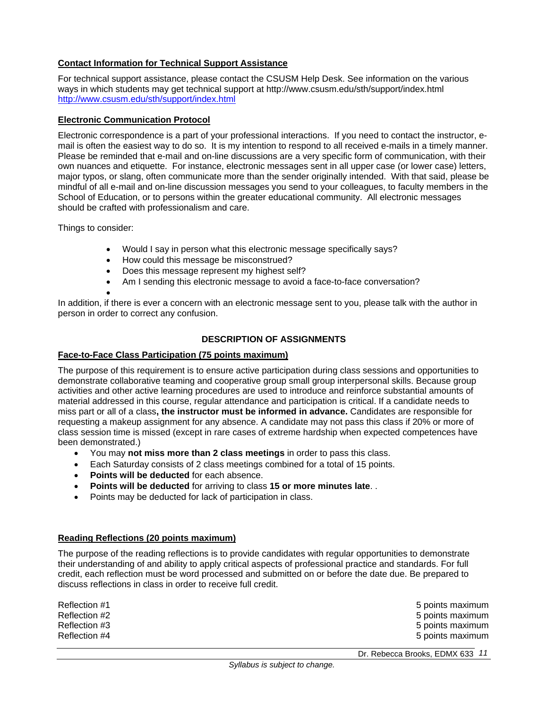## **Contact Information for Technical Support Assistance**

For technical support assistance, please contact the CSUSM Help Desk. See information on the various ways in which students may get technical support at http://www.csusm.edu/sth/support/index.html http://www.csusm.edu/sth/support/index.html

#### **Electronic Communication Protocol**

Electronic correspondence is a part of your professional interactions. If you need to contact the instructor, email is often the easiest way to do so. It is my intention to respond to all received e-mails in a timely manner. Please be reminded that e-mail and on-line discussions are a very specific form of communication, with their own nuances and etiquette. For instance, electronic messages sent in all upper case (or lower case) letters, major typos, or slang, often communicate more than the sender originally intended. With that said, please be mindful of all e-mail and on-line discussion messages you send to your colleagues, to faculty members in the School of Education, or to persons within the greater educational community. All electronic messages should be crafted with professionalism and care.

Things to consider:

- Would I say in person what this electronic message specifically says?
- How could this message be misconstrued?
- Does this message represent my highest self?
- Am I sending this electronic message to avoid a face-to-face conversation?

 $\bullet$ 

In addition, if there is ever a concern with an electronic message sent to you, please talk with the author in person in order to correct any confusion.

## **DESCRIPTION OF ASSIGNMENTS**

#### **Face-to-Face Class Participation (75 points maximum)**

The purpose of this requirement is to ensure active participation during class sessions and opportunities to demonstrate collaborative teaming and cooperative group small group interpersonal skills. Because group activities and other active learning procedures are used to introduce and reinforce substantial amounts of material addressed in this course, regular attendance and participation is critical. If a candidate needs to miss part or all of a class**, the instructor must be informed in advance.** Candidates are responsible for requesting a makeup assignment for any absence. A candidate may not pass this class if 20% or more of class session time is missed (except in rare cases of extreme hardship when expected competences have been demonstrated.)

- You may **not miss more than 2 class meetings** in order to pass this class.
- Each Saturday consists of 2 class meetings combined for a total of 15 points.
- **Points will be deducted** for each absence.
- **Points will be deducted** for arriving to class **15 or more minutes late**. .
- Points may be deducted for lack of participation in class.

## **Reading Reflections (20 points maximum)**

The purpose of the reading reflections is to provide candidates with regular opportunities to demonstrate their understanding of and ability to apply critical aspects of professional practice and standards. For full credit, each reflection must be word processed and submitted on or before the date due. Be prepared to discuss reflections in class in order to receive full credit.

| 5 points maximum<br>5 points maximum |
|--------------------------------------|
| 5 points maximum                     |
| 5 points maximum                     |
|                                      |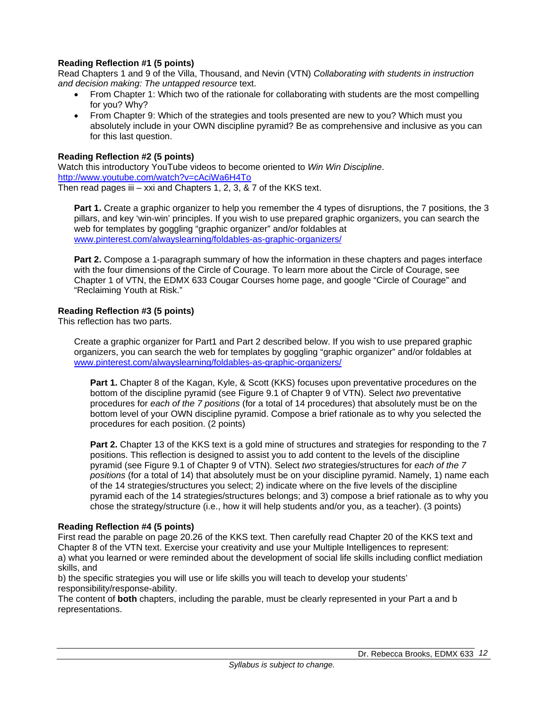## **Reading Reflection #1 (5 points)**

Read Chapters 1 and 9 of the Villa, Thousand, and Nevin (VTN) *Collaborating with students in instruction and decision making: The untapped resource* text.

- From Chapter 1: Which two of the rationale for collaborating with students are the most compelling for you? Why?
- From Chapter 9: Which of the strategies and tools presented are new to you? Which must you absolutely include in your OWN discipline pyramid? Be as comprehensive and inclusive as you can for this last question.

## **Reading Reflection #2 (5 points)**

Watch this introductory YouTube videos to become oriented to *Win Win Discipline*. http://www.youtube.com/watch?v=cAciWa6H4To Then read pages iii – xxi and Chapters 1, 2, 3,  $\&$  7 of the KKS text.

**Part 1.** Create a graphic organizer to help you remember the 4 types of disruptions, the 7 positions, the 3 pillars, and key 'win-win' principles. If you wish to use prepared graphic organizers, you can search the web for templates by goggling "graphic organizer" and/or foldables at www.pinterest.com/alwayslearning/foldables-as-graphic-organizers/

**Part 2.** Compose a 1-paragraph summary of how the information in these chapters and pages interface with the four dimensions of the Circle of Courage. To learn more about the Circle of Courage, see Chapter 1 of VTN, the EDMX 633 Cougar Courses home page, and google "Circle of Courage" and "Reclaiming Youth at Risk."

#### **Reading Reflection #3 (5 points)**

This reflection has two parts.

Create a graphic organizer for Part1 and Part 2 described below. If you wish to use prepared graphic organizers, you can search the web for templates by goggling "graphic organizer" and/or foldables at www.pinterest.com/alwayslearning/foldables-as-graphic-organizers/

**Part 1.** Chapter 8 of the Kagan, Kyle, & Scott (KKS) focuses upon preventative procedures on the bottom of the discipline pyramid (see Figure 9.1 of Chapter 9 of VTN). Select *two* preventative procedures for *each of the 7 positions* (for a total of 14 procedures) that absolutely must be on the bottom level of your OWN discipline pyramid. Compose a brief rationale as to why you selected the procedures for each position. (2 points)

**Part 2.** Chapter 13 of the KKS text is a gold mine of structures and strategies for responding to the 7 positions. This reflection is designed to assist you to add content to the levels of the discipline pyramid (see Figure 9.1 of Chapter 9 of VTN). Select *two* strategies/structures for *each of the 7 positions* (for a total of 14) that absolutely must be on your discipline pyramid. Namely, 1) name each of the 14 strategies/structures you select; 2) indicate where on the five levels of the discipline pyramid each of the 14 strategies/structures belongs; and 3) compose a brief rationale as to why you chose the strategy/structure (i.e., how it will help students and/or you, as a teacher). (3 points)

#### **Reading Reflection #4 (5 points)**

First read the parable on page 20.26 of the KKS text. Then carefully read Chapter 20 of the KKS text and Chapter 8 of the VTN text. Exercise your creativity and use your Multiple Intelligences to represent: a) what you learned or were reminded about the development of social life skills including conflict mediation skills, and

b) the specific strategies you will use or life skills you will teach to develop your students' responsibility/response-ability.

The content of **both** chapters, including the parable, must be clearly represented in your Part a and b representations.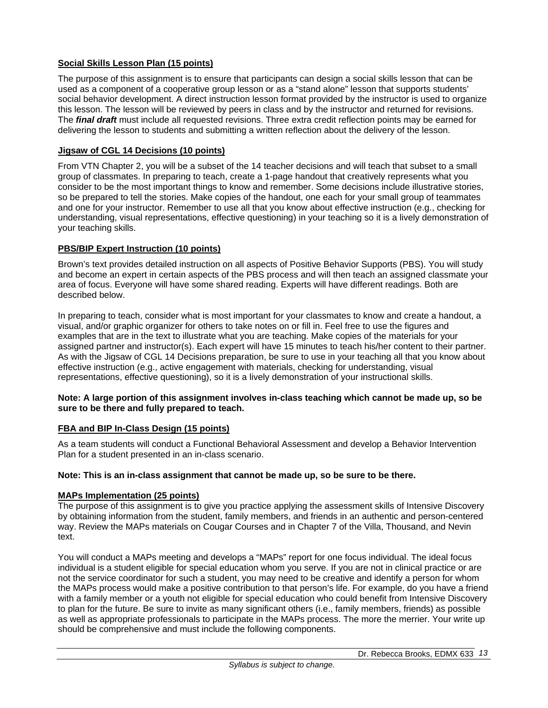## **Social Skills Lesson Plan (15 points)**

The purpose of this assignment is to ensure that participants can design a social skills lesson that can be used as a component of a cooperative group lesson or as a "stand alone" lesson that supports students' social behavior development. A direct instruction lesson format provided by the instructor is used to organize this lesson. The lesson will be reviewed by peers in class and by the instructor and returned for revisions. The *final draft* must include all requested revisions. Three extra credit reflection points may be earned for delivering the lesson to students and submitting a written reflection about the delivery of the lesson.

## **Jigsaw of CGL 14 Decisions (10 points)**

From VTN Chapter 2, you will be a subset of the 14 teacher decisions and will teach that subset to a small group of classmates. In preparing to teach, create a 1-page handout that creatively represents what you consider to be the most important things to know and remember. Some decisions include illustrative stories, so be prepared to tell the stories. Make copies of the handout, one each for your small group of teammates and one for your instructor. Remember to use all that you know about effective instruction (e.g., checking for understanding, visual representations, effective questioning) in your teaching so it is a lively demonstration of your teaching skills.

## **PBS/BIP Expert Instruction (10 points)**

Brown's text provides detailed instruction on all aspects of Positive Behavior Supports (PBS). You will study and become an expert in certain aspects of the PBS process and will then teach an assigned classmate your area of focus. Everyone will have some shared reading. Experts will have different readings. Both are described below.

In preparing to teach, consider what is most important for your classmates to know and create a handout, a visual, and/or graphic organizer for others to take notes on or fill in. Feel free to use the figures and examples that are in the text to illustrate what you are teaching. Make copies of the materials for your assigned partner and instructor(s). Each expert will have 15 minutes to teach his/her content to their partner. As with the Jigsaw of CGL 14 Decisions preparation, be sure to use in your teaching all that you know about effective instruction (e.g., active engagement with materials, checking for understanding, visual representations, effective questioning), so it is a lively demonstration of your instructional skills.

#### **Note: A large portion of this assignment involves in-class teaching which cannot be made up, so be sure to be there and fully prepared to teach.**

## **FBA and BIP In-Class Design (15 points)**

As a team students will conduct a Functional Behavioral Assessment and develop a Behavior Intervention Plan for a student presented in an in-class scenario.

## **Note: This is an in-class assignment that cannot be made up, so be sure to be there.**

## **MAPs Implementation (25 points)**

The purpose of this assignment is to give you practice applying the assessment skills of Intensive Discovery by obtaining information from the student, family members, and friends in an authentic and person-centered way. Review the MAPs materials on Cougar Courses and in Chapter 7 of the Villa, Thousand, and Nevin text.

You will conduct a MAPs meeting and develops a "MAPs" report for one focus individual. The ideal focus individual is a student eligible for special education whom you serve. If you are not in clinical practice or are not the service coordinator for such a student, you may need to be creative and identify a person for whom the MAPs process would make a positive contribution to that person's life. For example, do you have a friend with a family member or a youth not eligible for special education who could benefit from Intensive Discovery to plan for the future. Be sure to invite as many significant others (i.e., family members, friends) as possible as well as appropriate professionals to participate in the MAPs process. The more the merrier. Your write up should be comprehensive and must include the following components.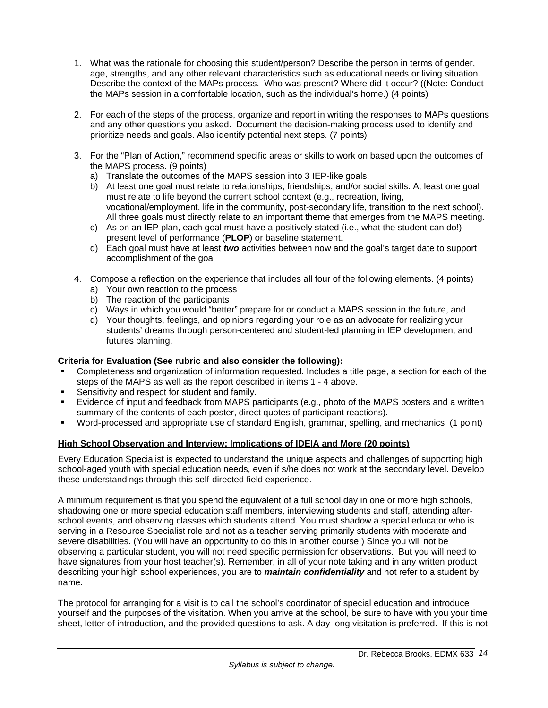- 1. What was the rationale for choosing this student/person? Describe the person in terms of gender, age, strengths, and any other relevant characteristics such as educational needs or living situation. Describe the context of the MAPs process. Who was present? Where did it occur? ((Note: Conduct the MAPs session in a comfortable location, such as the individual's home.) (4 points)
- 2. For each of the steps of the process, organize and report in writing the responses to MAPs questions and any other questions you asked. Document the decision-making process used to identify and prioritize needs and goals. Also identify potential next steps. (7 points)
- 3. For the "Plan of Action," recommend specific areas or skills to work on based upon the outcomes of the MAPS process. (9 points)
	- a) Translate the outcomes of the MAPS session into 3 IEP-like goals.
	- b) At least one goal must relate to relationships, friendships, and/or social skills. At least one goal must relate to life beyond the current school context (e.g., recreation, living, vocational/employment, life in the community, post-secondary life, transition to the next school). All three goals must directly relate to an important theme that emerges from the MAPS meeting.
	- c) As on an IEP plan, each goal must have a positively stated (i.e., what the student can do!) present level of performance (**PLOP**) or baseline statement.
	- d) Each goal must have at least *two* activities between now and the goal's target date to support accomplishment of the goal
- 4. Compose a reflection on the experience that includes all four of the following elements. (4 points)
	- a) Your own reaction to the process
	- b) The reaction of the participants
	- c) Ways in which you would "better" prepare for or conduct a MAPS session in the future, and
	- d) Your thoughts, feelings, and opinions regarding your role as an advocate for realizing your students' dreams through person-centered and student-led planning in IEP development and futures planning.

## **Criteria for Evaluation (See rubric and also consider the following):**

- Completeness and organization of information requested. Includes a title page, a section for each of the steps of the MAPS as well as the report described in items 1 - 4 above.
- Sensitivity and respect for student and family.
- Evidence of input and feedback from MAPS participants (e.g., photo of the MAPS posters and a written summary of the contents of each poster, direct quotes of participant reactions).
- Word-processed and appropriate use of standard English, grammar, spelling, and mechanics (1 point)

## **High School Observation and Interview: Implications of IDEIA and More (20 points)**

Every Education Specialist is expected to understand the unique aspects and challenges of supporting high school-aged youth with special education needs, even if s/he does not work at the secondary level. Develop these understandings through this self-directed field experience.

A minimum requirement is that you spend the equivalent of a full school day in one or more high schools, shadowing one or more special education staff members, interviewing students and staff, attending afterschool events, and observing classes which students attend. You must shadow a special educator who is serving in a Resource Specialist role and not as a teacher serving primarily students with moderate and severe disabilities. (You will have an opportunity to do this in another course.) Since you will not be observing a particular student, you will not need specific permission for observations. But you will need to have signatures from your host teacher(s). Remember, in all of your note taking and in any written product describing your high school experiences, you are to *maintain confidentiality* and not refer to a student by name.

The protocol for arranging for a visit is to call the school's coordinator of special education and introduce yourself and the purposes of the visitation. When you arrive at the school, be sure to have with you your time sheet, letter of introduction, and the provided questions to ask. A day-long visitation is preferred. If this is not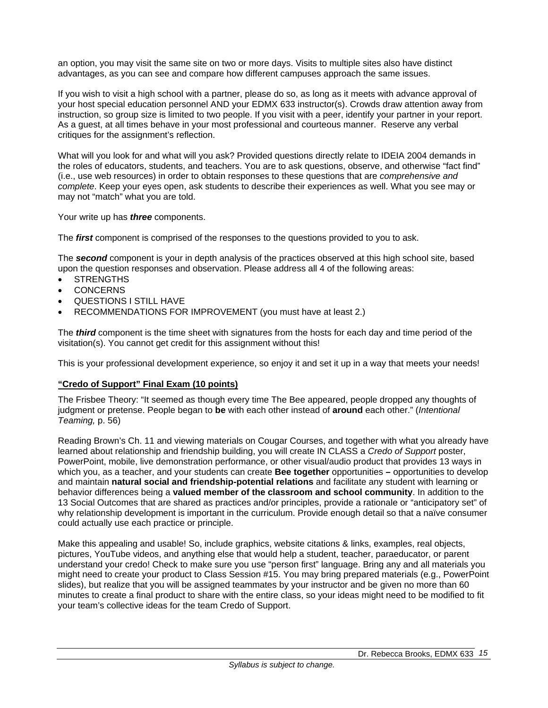an option, you may visit the same site on two or more days. Visits to multiple sites also have distinct advantages, as you can see and compare how different campuses approach the same issues.

If you wish to visit a high school with a partner, please do so, as long as it meets with advance approval of your host special education personnel AND your EDMX 633 instructor(s). Crowds draw attention away from instruction, so group size is limited to two people. If you visit with a peer, identify your partner in your report. As a guest, at all times behave in your most professional and courteous manner. Reserve any verbal critiques for the assignment's reflection.

What will you look for and what will you ask? Provided questions directly relate to IDEIA 2004 demands in the roles of educators, students, and teachers. You are to ask questions, observe, and otherwise "fact find" (i.e., use web resources) in order to obtain responses to these questions that are *comprehensive and complete*. Keep your eyes open, ask students to describe their experiences as well. What you see may or may not "match" what you are told.

Your write up has *three* components.

The *first* component is comprised of the responses to the questions provided to you to ask.

The *second* component is your in depth analysis of the practices observed at this high school site, based upon the question responses and observation. Please address all 4 of the following areas:

- STRENGTHS
- **CONCERNS**
- QUESTIONS I STILL HAVE
- RECOMMENDATIONS FOR IMPROVEMENT (you must have at least 2.)

The *third* component is the time sheet with signatures from the hosts for each day and time period of the visitation(s). You cannot get credit for this assignment without this!

This is your professional development experience, so enjoy it and set it up in a way that meets your needs!

## **"Credo of Support" Final Exam (10 points)**

The Frisbee Theory: "It seemed as though every time The Bee appeared, people dropped any thoughts of judgment or pretense. People began to **be** with each other instead of **around** each other." (*Intentional Teaming,* p. 56)

Reading Brown's Ch. 11 and viewing materials on Cougar Courses, and together with what you already have learned about relationship and friendship building, you will create IN CLASS a *Credo of Support* poster, PowerPoint, mobile, live demonstration performance, or other visual/audio product that provides 13 ways in which you, as a teacher, and your students can create **Bee together** opportunities **–** opportunities to develop and maintain **natural social and friendship-potential relations** and facilitate any student with learning or behavior differences being a **valued member of the classroom and school community**. In addition to the 13 Social Outcomes that are shared as practices and/or principles, provide a rationale or "anticipatory set" of why relationship development is important in the curriculum. Provide enough detail so that a naïve consumer could actually use each practice or principle.

Make this appealing and usable! So, include graphics, website citations & links, examples, real objects, pictures, YouTube videos, and anything else that would help a student, teacher, paraeducator, or parent understand your credo! Check to make sure you use "person first" language. Bring any and all materials you might need to create your product to Class Session #15. You may bring prepared materials (e.g., PowerPoint slides), but realize that you will be assigned teammates by your instructor and be given no more than 60 minutes to create a final product to share with the entire class, so your ideas might need to be modified to fit your team's collective ideas for the team Credo of Support.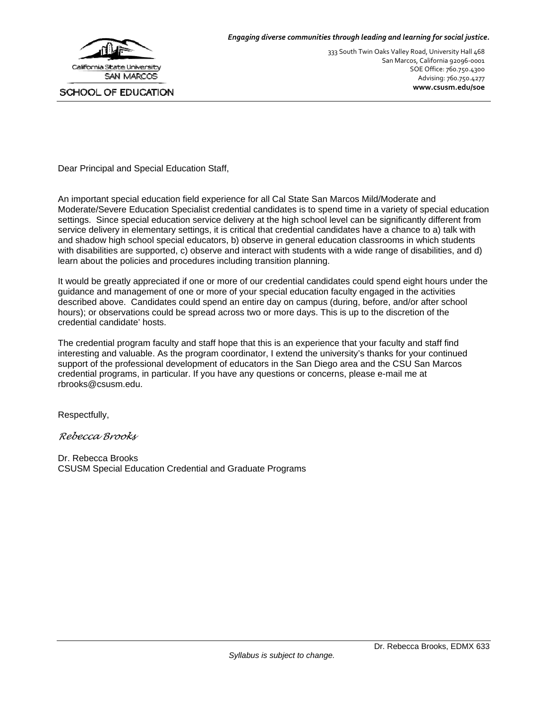

#### *Engaging diverse communities through leading and learning for social justice.*

333 South Twin Oaks Valley Road, University Hall 468 San Marcos, California 92096‐0001 SOE Office: 760.750.4300 Advising: 760.750.4277 **www.csusm.edu/soe**

Dear Principal and Special Education Staff,

An important special education field experience for all Cal State San Marcos Mild/Moderate and Moderate/Severe Education Specialist credential candidates is to spend time in a variety of special education settings. Since special education service delivery at the high school level can be significantly different from service delivery in elementary settings, it is critical that credential candidates have a chance to a) talk with and shadow high school special educators, b) observe in general education classrooms in which students with disabilities are supported, c) observe and interact with students with a wide range of disabilities, and d) learn about the policies and procedures including transition planning.

It would be greatly appreciated if one or more of our credential candidates could spend eight hours under the guidance and management of one or more of your special education faculty engaged in the activities described above. Candidates could spend an entire day on campus (during, before, and/or after school hours); or observations could be spread across two or more days. This is up to the discretion of the credential candidate' hosts.

The credential program faculty and staff hope that this is an experience that your faculty and staff find interesting and valuable. As the program coordinator, I extend the university's thanks for your continued support of the professional development of educators in the San Diego area and the CSU San Marcos credential programs, in particular. If you have any questions or concerns, please e-mail me at rbrooks@csusm.edu.

Respectfully,

*Rebecca Brooks* 

Dr. Rebecca Brooks CSUSM Special Education Credential and Graduate Programs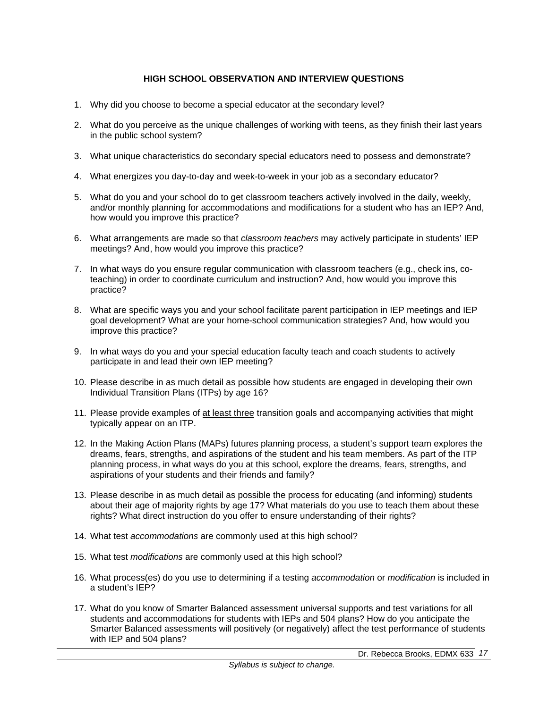## **HIGH SCHOOL OBSERVATION AND INTERVIEW QUESTIONS**

- 1. Why did you choose to become a special educator at the secondary level?
- 2. What do you perceive as the unique challenges of working with teens, as they finish their last years in the public school system?
- 3. What unique characteristics do secondary special educators need to possess and demonstrate?
- 4. What energizes you day-to-day and week-to-week in your job as a secondary educator?
- 5. What do you and your school do to get classroom teachers actively involved in the daily, weekly, and/or monthly planning for accommodations and modifications for a student who has an IEP? And, how would you improve this practice?
- 6. What arrangements are made so that *classroom teachers* may actively participate in students' IEP meetings? And, how would you improve this practice?
- 7. In what ways do you ensure regular communication with classroom teachers (e.g., check ins, coteaching) in order to coordinate curriculum and instruction? And, how would you improve this practice?
- 8. What are specific ways you and your school facilitate parent participation in IEP meetings and IEP goal development? What are your home-school communication strategies? And, how would you improve this practice?
- 9. In what ways do you and your special education faculty teach and coach students to actively participate in and lead their own IEP meeting?
- 10. Please describe in as much detail as possible how students are engaged in developing their own Individual Transition Plans (ITPs) by age 16?
- 11. Please provide examples of at least three transition goals and accompanying activities that might typically appear on an ITP.
- 12. In the Making Action Plans (MAPs) futures planning process, a student's support team explores the dreams, fears, strengths, and aspirations of the student and his team members. As part of the ITP planning process, in what ways do you at this school, explore the dreams, fears, strengths, and aspirations of your students and their friends and family?
- 13. Please describe in as much detail as possible the process for educating (and informing) students about their age of majority rights by age 17? What materials do you use to teach them about these rights? What direct instruction do you offer to ensure understanding of their rights?
- 14. What test *accommodations* are commonly used at this high school?
- 15. What test *modifications* are commonly used at this high school?
- 16. What process(es) do you use to determining if a testing *accommodation* or *modification* is included in a student's IEP?
- 17. What do you know of Smarter Balanced assessment universal supports and test variations for all students and accommodations for students with IEPs and 504 plans? How do you anticipate the Smarter Balanced assessments will positively (or negatively) affect the test performance of students with IEP and 504 plans?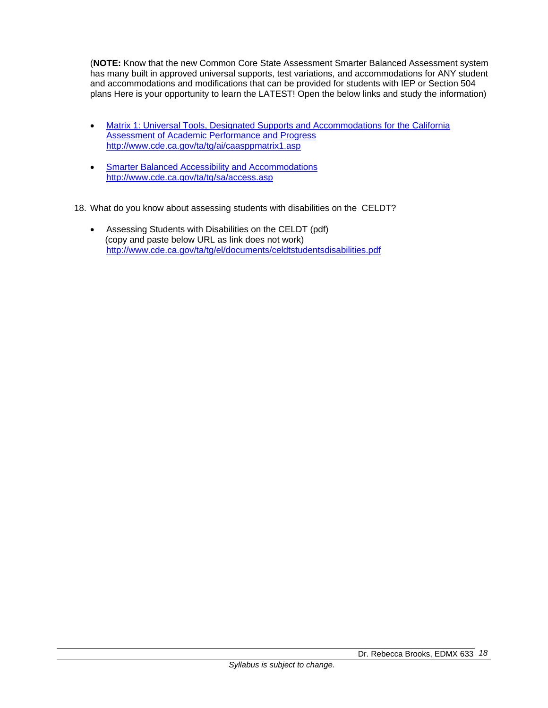(**NOTE:** Know that the new Common Core State Assessment Smarter Balanced Assessment system has many built in approved universal supports, test variations, and accommodations for ANY student and accommodations and modifications that can be provided for students with IEP or Section 504 plans Here is your opportunity to learn the LATEST! Open the below links and study the information)

- Matrix 1: Universal Tools, Designated Supports and Accommodations for the California Assessment of Academic Performance and Progress http://www.cde.ca.gov/ta/tg/ai/caasppmatrix1.asp
- **Smarter Balanced Accessibility and Accommodations** http://www.cde.ca.gov/ta/tg/sa/access.asp
- 18. What do you know about assessing students with disabilities on the CELDT?
	- Assessing Students with Disabilities on the CELDT (pdf) (copy and paste below URL as link does not work) http://www.cde.ca.gov/ta/tg/el/documents/celdtstudentsdisabilities.pdf